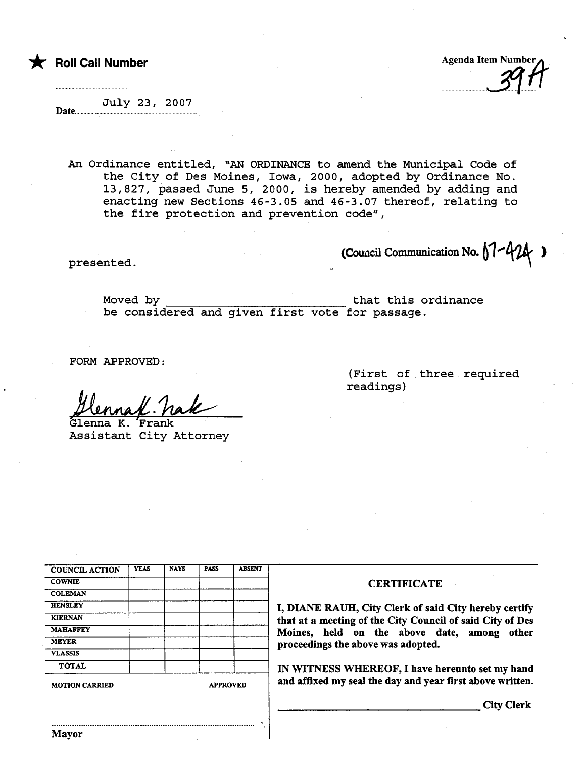the Roll Call Number Agenda Item Number Agenda Item Number

nnnnnnnnnnn1(n.

Date... July 23, 2007

An Ordinance entitled, "AN ORDINANCE to amend the Municipal Code of the City of Des Moines, Iowa, 2000, adopted by Ordinance No. 13,827, passed June 5, 2000, is hereby amended by adding and enacting new Sections 46-3.05 and 46-3.07 thereof, relating to the fire protection and prevention code",

 $p$ resented.

Moved by that this ordinance be considered and given first vote for passage.

.

FORM APPROVED:

Henna/ h<br>Glenna K. Frank<br>Assistant City

Assistant City Attorney

| <b>COUNCIL ACTION</b> | <b>YEAS</b> | <b>NAYS</b> | <b>PASS</b> | <b>ABSENT</b> |
|-----------------------|-------------|-------------|-------------|---------------|
| <b>COWNIE</b>         |             |             |             |               |
| <b>COLEMAN</b>        |             |             |             |               |
| <b>HENSLEY</b>        |             |             |             |               |
| <b>KIERNAN</b>        |             |             |             |               |
| <b>MAHAFFEY</b>       |             |             |             |               |
| <b>MEYER</b>          |             |             |             |               |
| <b>VLASSIS</b>        |             |             |             |               |
| <b>TOTAL</b>          |             |             |             |               |

## (First of three required readings)

## **CERTIFICATE**

I, DIANE RAUH, City Clerk of said City hereby certify that at a meeting of the City Council of said City of Des Moines, held on the above date, among other proceedings the above was adopted.

IN WITNESS WHEREOF, I have hereunto set my hand MOTION CARRIED APPROVED **and affixed my seal the day and year first above written.** 

City Clerk

..........................................................................................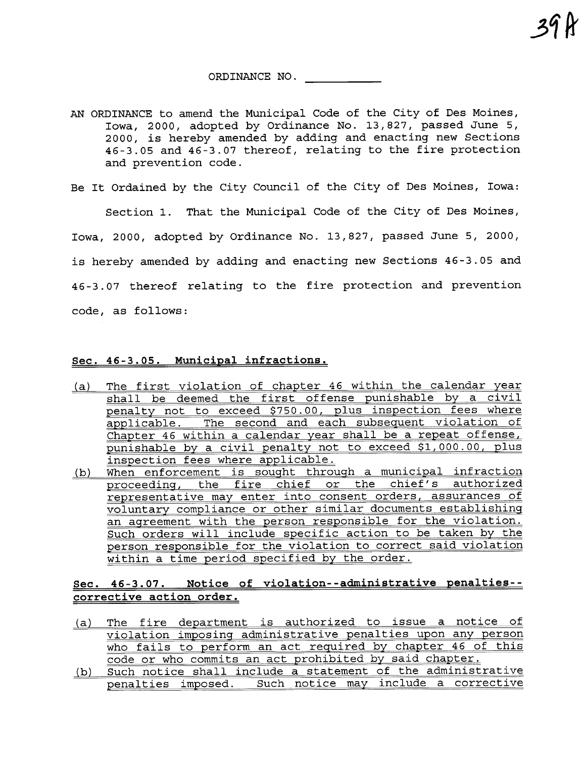ORDINANCE NO.

39 k

- AN ORDINANCE to amend the Municipal Code of the City of Des Moines, Iowa, 2000, adopted by Ordinance No. 13,827, passed June 5, 2000, is hereby amended by adding and enacting new Sections 46-3.05 and 46-3.07 thereof, relating to the fire protection and prevention code.
- Be It Ordained by the City Council of the City of Des Moines, Iowa:

Section 1. That the Municipal Code of the City of Des Moines, Iowa, 2000, adopted by Ordinance No. 13,827, passed June 5, 2000, is hereby amended by adding and enacting new Sections 46-3.05 and 46-3.07 thereof relating to the fire protection and prevention code, as follows:

## Sec. 46-3.05. Municipal infractions.

- (a) The first violation of chapter 46 within the calendar year shall be deemed the first offense punishable by a civil penalty not to exceed \$750.00, plus inspection fees where applicable. The second and each subsequent violation of Chapter 46 within a calendar year shall be a repeat offense, punishable by a civil penalty not to exceed \$1,000.00, plus inspection fees where applicable.
- (b) When enforcement is sought through a municipal infraction proceeding, the fire chief or the chief's authorized representative may enter into consent orders, assurances of voluntary compliance or other similar documents establishing an agreement with the person responsible for the violation. Such orders will include specific action to be taken by the person responsible for the violation to correct said violation within a time period specified by the order.

## Sec. 46-3.07. Notice of violation--administrative penalties- corrective action order.

- (a) The fire department is authorized to issue a notice of violation imposing administrative penalties upon any person who fails to perform an act required by chapter 46 of this code or who commits an act prohibited by said chapter.<br>(b) Such notice shall include a statement of the administrative
- penalties imposed. Such notice may include a corrective